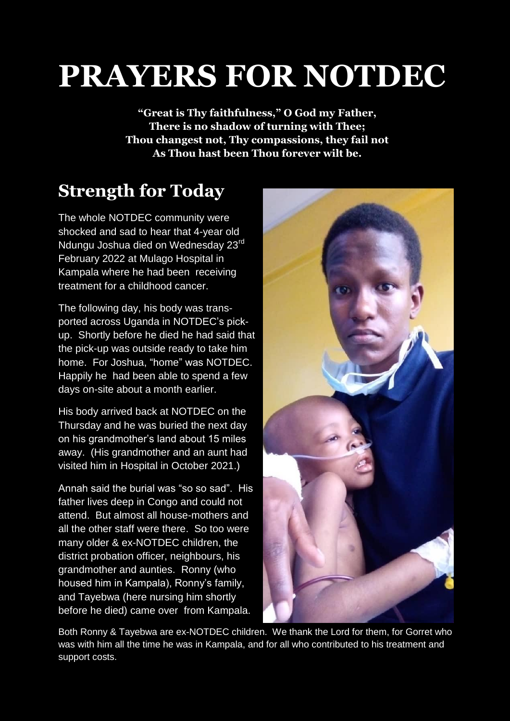# **PRAYERS FOR NOTDEC**

**"Great is Thy faithfulness," O God my Father, There is no shadow of turning with Thee; Thou changest not, Thy compassions, they fail not As Thou hast been Thou forever wilt be.**

# **Strength for Today**

The whole NOTDEC community were shocked and sad to hear that 4-year old Ndungu Joshua died on Wednesday 23<sup>rd</sup> February 2022 at Mulago Hospital in Kampala where he had been receiving treatment for a childhood cancer.

The following day, his body was transported across Uganda in NOTDEC's pickup. Shortly before he died he had said that the pick-up was outside ready to take him home. For Joshua, "home" was NOTDEC. Happily he had been able to spend a few days on-site about a month earlier.

His body arrived back at NOTDEC on the Thursday and he was buried the next day on his grandmother's land about 15 miles away. (His grandmother and an aunt had visited him in Hospital in October 2021.)

Annah said the burial was "so so sad". His father lives deep in Congo and could not attend. But almost all house-mothers and all the other staff were there. So too were many older & ex-NOTDEC children, the district probation officer, neighbours, his grandmother and aunties. Ronny (who housed him in Kampala), Ronny's family, and Tayebwa (here nursing him shortly before he died) came over from Kampala.



Both Ronny & Tayebwa are ex-NOTDEC children. We thank the Lord for them, for Gorret who was with him all the time he was in Kampala, and for all who contributed to his treatment and support costs.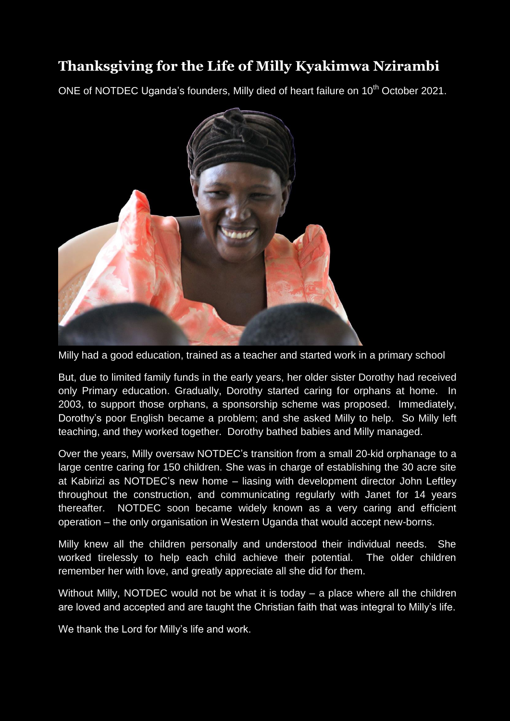## **Thanksgiving for the Life of Milly Kyakimwa Nzirambi**

ONE of NOTDEC Uganda's founders, Milly died of heart failure on 10<sup>th</sup> October 2021.



Milly had a good education, trained as a teacher and started work in a primary school

But, due to limited family funds in the early years, her older sister Dorothy had received only Primary education. Gradually, Dorothy started caring for orphans at home. In 2003, to support those orphans, a sponsorship scheme was proposed. Immediately, Dorothy's poor English became a problem; and she asked Milly to help. So Milly left teaching, and they worked together. Dorothy bathed babies and Milly managed.

Over the years, Milly oversaw NOTDEC's transition from a small 20-kid orphanage to a large centre caring for 150 children. She was in charge of establishing the 30 acre site at Kabirizi as NOTDEC's new home – liasing with development director John Leftley throughout the construction, and communicating regularly with Janet for 14 years thereafter. NOTDEC soon became widely known as a very caring and efficient operation – the only organisation in Western Uganda that would accept new-borns.

Milly knew all the children personally and understood their individual needs. She worked tirelessly to help each child achieve their potential. The older children remember her with love, and greatly appreciate all she did for them.

Without Milly, NOTDEC would not be what it is today – a place where all the children are loved and accepted and are taught the Christian faith that was integral to Milly's life.

We thank the Lord for Milly's life and work.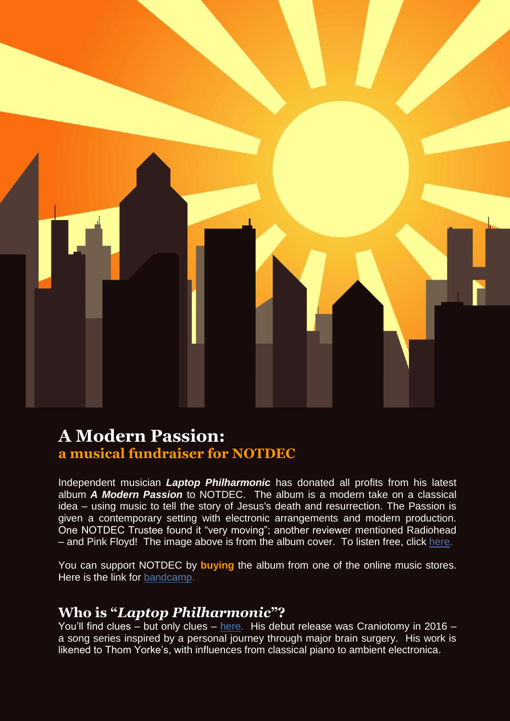

## **A Modern Passion: a musical fundraiser for NOTDEC**

Independent musician *Laptop Philharmonic* has donated all profits from his latest album *A Modern Passion* to NOTDEC. The album is a modern take on a classical idea – using music to tell the story of Jesus's death and resurrection. The Passion is given a contemporary setting with electronic arrangements and modern production. One NOTDEC Trustee found it "very moving"; another reviewer mentioned Radiohead – and Pink Floyd! The image above is from the album cover. To listen free, click [here.](https://laptopphilharmonic.bandcamp.com/album/a-modern-passion)

You can support NOTDEC by **buying** the album from one of the online music stores. Here is the link for [bandcamp.](https://laptopphilharmonic.bandcamp.com/album/a-modern-passion)

### **Who is "***Laptop Philharmonic***"?**

You'll find clues – but only clues – [here.](http://laptopphilharmonic.uk/) His debut release was Craniotomy in 2016 – a song series inspired by a personal journey through major brain surgery. His work is likened to Thom Yorke's, with influences from classical piano to ambient electronica.